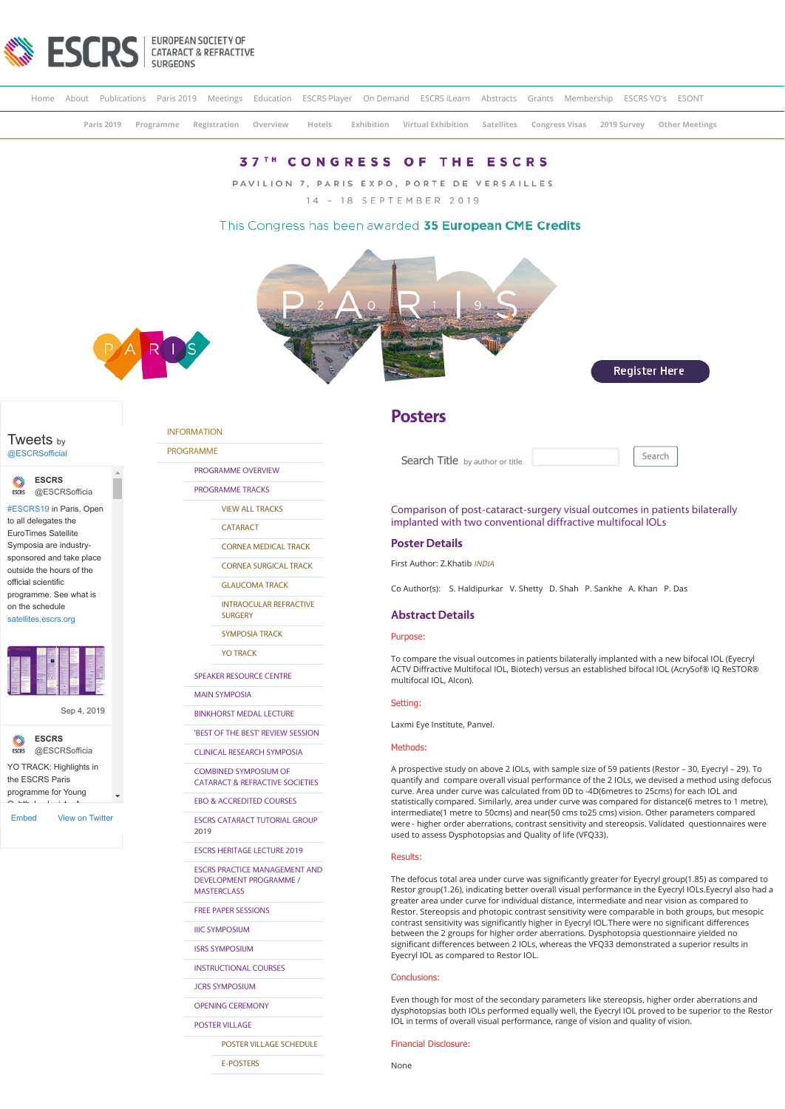

|  |  |  | Home About Publications Paris 2019 Meetings Education ESCRS Player On Demand ESCRS iLearn Abstracts Grants Membership ESCRS YO's ESONT |  |                |  |
|--|--|--|----------------------------------------------------------------------------------------------------------------------------------------|--|----------------|--|
|  |  |  | Paris 2019 Programme Registration Overview Hotels Exhibition Virtual Exhibition Satellites Congress Visas 2019 Survey                  |  | Other Meetings |  |
|  |  |  | <b>37<sup>TH</sup> CONGRESS OF THE ESCRS</b>                                                                                           |  |                |  |
|  |  |  | PAVILION 7, PARIS EXPO, PORTE DE VERSAILLES                                                                                            |  |                |  |
|  |  |  | 14 - 18 SEPTEMBER 2019                                                                                                                 |  |                |  |

## This Congress has been awarded 35 European CME Credits







# [@ESCRSofficial](https://twitter.com/ESCRSofficial)

**ESCRS** [@ESCRSofficia](https://twitter.com/ESCRSofficial)

[#ESCRS19](https://twitter.com/hashtag/ESCRS19?src=hash) in Paris. Open to all delegates the EuroTimes Satellite Symposia are industrysponsored and take place outside the hours of the official scientific programme. See what is

on the schedule [satellites.escrs.org](https://t.co/3xG4psOegg)



[Sep 4, 2019](https://twitter.com/ESCRSofficial/status/1169282841303273472)



[Embed](https://publish.twitter.com/?url=https%3A%2F%2Ftwitter.com%2FESCRSofficial) [View on Twitter](https://twitter.com/ESCRSofficial)

## [INFORMATION](https://www.escrs.org/paris2019/default.asp)

[PROGRAMME](https://www.escrs.org/paris2019/default.asp) [PROGRAMME OVERVIEW](https://www.escrs.org/paris2019/programme/prog_overview.asp)

[PROGRAMME TRACKS](javascript:void(0);)

[VIEW ALL TRACKS](https://www.escrs.org/paris2019/programme/tracks.asp)

**[CATARACT](https://www.escrs.org/paris2019/programme/downloads/Tracks_Cataract_and_Refractive.pdf)** 

[CORNEA MEDICAL TRACK](https://www.escrs.org/paris2019/programme/downloads/Tracks_Cornea_Medical_Track.pdf)

[CORNEA SURGICAL TRACK](https://www.escrs.org/paris2019/programme/downloads/Tracks_Cornea_Surgical_Track.pdf)

[GLAUCOMA TRACK](https://www.escrs.org/paris2019/programme/downloads/Track_Glaucoma.pdf)

[INTRAOCULAR REFRACTIVE](https://www.escrs.org/paris2019/programme/downloads/Tracks_Intraocular_Refractive_Surgery.pdf) **SURGERY** 

[SYMPOSIA TRACK](https://www.escrs.org/paris2019/programme/downloads/Tracks_Symposia.pdf)

[YO TRACK](https://www.escrs.org/paris2019/programme/downloads/Tracks_Young_Ophthalmologists.pdf)

[SPEAKER RESOURCE CENTRE](https://2019escr.smarteventscloud.com/content/login.do)

[MAIN SYMPOSIA](https://www.escrs.org/paris2019/programme/main-symposia.asp)

[BINKHORST MEDAL LECTURE](https://www.escrs.org/paris2019/programme/Binkhorst_Medal_Lecture.asp) ['BEST OF THE BEST' REVIEW SESSION](https://www.escrs.org/paris2019/programme/best-of-the-best.asp)

[CLINICAL RESEARCH SYMPOSIA](https://www.escrs.org/paris2019/programme/clinical-research.asp)

COMBINED SYMPOSIUM OF

[CATARACT & REFRACTIVE SOCIETIES](https://www.escrs.org/paris2019/programme/cscrs.asp)

[EBO & ACCREDITED COURSES](https://www.escrs.org/paris2019/programme/EBO&Accredited-Courses.asp)

[ESCRS CATARACT TUTORIAL GROUP](https://www.escrs.org/paris2019/programme/Cataract_Tutorial_Group.asp) 2019

[ESCRS HERITAGE LECTURE 2019](https://www.escrs.org/paris2019/programme/ESCRS_Heritage_Lecture_2019.asp)

[ESCRS PRACTICE MANAGEMENT AND](https://www.escrs.org/paris2019/programme/ESCRS-Practice-Management-and-Development-Programme.asp) DEVELOPMENT PROGRAMME / MASTERCLASS

[FREE PAPER SESSIONS](javascript:void(0);)

[IIIC SYMPOSIUM](https://www.escrs.org/paris2019/programme/IIIC_symposium.asp)

[ISRS SYMPOSIUM](https://www.escrs.org/paris2019/programme/ISRS.asp)

[INSTRUCTIONAL COURSES](https://www.escrs.org/paris2019/programme/instructional-courses.asp?day=I)

[JCRS SYMPOSIUM](https://www.escrs.org/paris2019/programme/JCRS-symposium.asp)

[OPENING CEREMONY](https://www.escrs.org/paris2019/programme/Opening_Ceremony.asp)

[POSTER VILLAGE](javascript:void(0);)

[POSTER VILLAGE SCHEDULE](https://www.escrs.org/paris2019/programme/poster-village-overview.asp)

[E-POSTERS](https://www.escrs.org/paris2019/programme/poster-overview.asp)

## **Posters**

Search Title by author or title **Search** 



Comparison of post-cataract-surgery visual outcomes in patients bilaterally implanted with two conventional diffractive multifocal IOLs

#### **Poster Details**

First Author: Z.Khatib INDIA

Co Author(s): S. Haldipurkar V. Shetty D. Shah P. Sankhe A. Khan P. Das

#### **Abstract Details**

## Purpose:

To compare the visual outcomes in patients bilaterally implanted with a new bifocal IOL (Eyecryl ACTV Diffractive Multifocal IOL, Biotech) versus an established bifocal IOL (AcrySof® IQ ReSTOR® multifocal IOL, Alcon).

#### Setting:

Laxmi Eye Institute, Panvel.

#### Methods:

A prospective study on above 2 IOLs, with sample size of 59 patients (Restor – 30, Eyecryl – 29). To quantify and compare overall visual performance of the 2 IOLs, we devised a method using defocus curve. Area under curve was calculated from 0D to -4D(6metres to 25cms) for each IOL and statistically compared. Similarly, area under curve was compared for distance(6 metres to 1 metre), intermediate(1 metre to 50cms) and near(50 cms to25 cms) vision. Other parameters compared were - higher order aberrations, contrast sensitivity and stereopsis. Validated questionnaires were used to assess Dysphotopsias and Quality of life (VFQ33).

#### Results:

The defocus total area under curve was significantly greater for Eyecryl group(1.85) as compared to Restor group(1.26), indicating better overall visual performance in the Eyecryl IOLs.Eyecryl also had a greater area under curve for individual distance, intermediate and near vision as compared to Restor. Stereopsis and photopic contrast sensitivity were comparable in both groups, but mesopic contrast sensitivity was significantly higher in Eyecryl IOL.There were no significant differences between the 2 groups for higher order aberrations. Dysphotopsia questionnaire yielded no significant differences between 2 IOLs, whereas the VFQ33 demonstrated a superior results in Eyecryl IOL as compared to Restor IOL.

#### Conclusions:

Even though for most of the secondary parameters like stereopsis, higher order aberrations and dysphotopsias both IOLs performed equally well, the Eyecryl IOL proved to be superior to the Restor IOL in terms of overall visual performance, range of vision and quality of vision.

## Financial Disclosure:

None